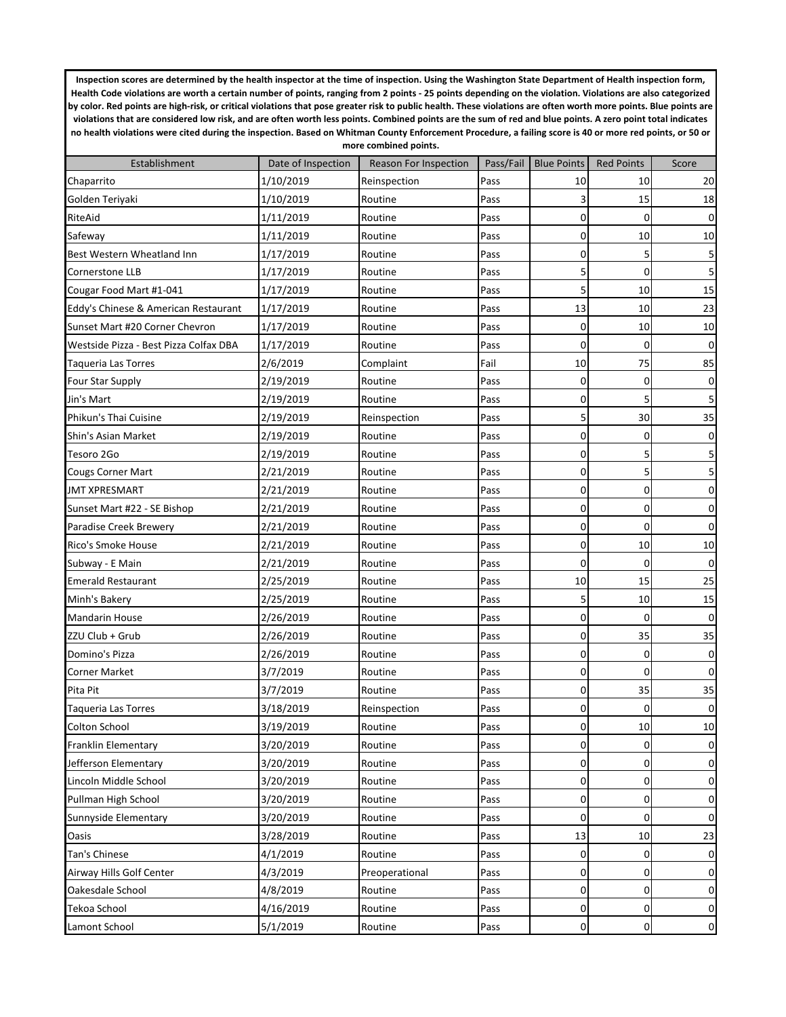**Inspection scores are determined by the health inspector at the time of inspection. Using the Washington State Department of Health inspection form,**  Health Code violations are worth a certain number of points, ranging from 2 points - 25 points depending on the violation. Violations are also categorized **by color. Red points are high-risk, or critical violations that pose greater risk to public health. These violations are often worth more points. Blue points are violations that are considered low risk, and are often worth less points. Combined points are the sum of red and blue points. A zero point total indicates no health violations were cited during the inspection. Based on Whitman County Enforcement Procedure, a failing score is 40 or more red points, or 50 or more combined points.**

| Establishment                          | Date of Inspection | <b>Reason For Inspection</b> |      | Pass/Fail   Blue Points | <b>Red Points</b> | Score            |
|----------------------------------------|--------------------|------------------------------|------|-------------------------|-------------------|------------------|
| Chaparrito                             | 1/10/2019          | Reinspection                 | Pass | 10                      | 10                | 20               |
| Golden Teriyaki                        | 1/10/2019          | Routine                      | Pass | 3                       | 15                | 18               |
| RiteAid                                | 1/11/2019          | Routine                      | Pass | $\mathbf 0$             | 0                 | $\pmb{0}$        |
| Safeway                                | 1/11/2019          | Routine                      | Pass | 0                       | 10                | 10               |
| Best Western Wheatland Inn             | 1/17/2019          | Routine                      | Pass | $\mathbf 0$             | 5                 | 5                |
| Cornerstone LLB                        | 1/17/2019          | Routine                      | Pass | 5                       | $\mathbf 0$       | 5                |
| Cougar Food Mart #1-041                | 1/17/2019          | Routine                      | Pass | 5                       | 10                | 15               |
| Eddy's Chinese & American Restaurant   | 1/17/2019          | Routine                      | Pass | 13                      | 10                | 23               |
| Sunset Mart #20 Corner Chevron         | 1/17/2019          | Routine                      | Pass | 0                       | 10                | 10               |
| Westside Pizza - Best Pizza Colfax DBA | 1/17/2019          | Routine                      | Pass | $\mathbf 0$             | $\Omega$          | $\boldsymbol{0}$ |
| Taqueria Las Torres                    | 2/6/2019           | Complaint                    | Fail | 10                      | 75                | 85               |
| <b>Four Star Supply</b>                | 2/19/2019          | Routine                      | Pass | $\mathbf 0$             | 0                 | $\pmb{0}$        |
| Jin's Mart                             | 2/19/2019          | Routine                      | Pass | $\mathbf 0$             | 5                 | 5                |
| Phikun's Thai Cuisine                  | 2/19/2019          | Reinspection                 | Pass | 5                       | 30                | 35               |
| Shin's Asian Market                    | 2/19/2019          | Routine                      | Pass | $\mathbf 0$             | 0                 | $\pmb{0}$        |
| Tesoro 2Go                             | 2/19/2019          | Routine                      | Pass | $\mathbf 0$             | 5                 | 5                |
| <b>Cougs Corner Mart</b>               | 2/21/2019          | Routine                      | Pass | $\mathbf 0$             | 5                 | $\sf S$          |
| <b>JMT XPRESMART</b>                   | 2/21/2019          | Routine                      | Pass | $\mathbf 0$             | 0                 | $\pmb{0}$        |
| Sunset Mart #22 - SE Bishop            | 2/21/2019          | Routine                      | Pass | $\mathbf 0$             | 0                 | $\pmb{0}$        |
| Paradise Creek Brewery                 | 2/21/2019          | Routine                      | Pass | $\mathbf 0$             | $\Omega$          | $\pmb{0}$        |
| Rico's Smoke House                     | 2/21/2019          | Routine                      | Pass | $\mathbf 0$             | 10                | 10               |
| Subway - E Main                        | 2/21/2019          | Routine                      | Pass | $\mathbf 0$             | $\Omega$          | $\pmb{0}$        |
| <b>Emerald Restaurant</b>              | 2/25/2019          | Routine                      | Pass | 10                      | 15                | 25               |
| Minh's Bakery                          | 2/25/2019          | Routine                      | Pass | 5                       | 10                | 15               |
| <b>Mandarin House</b>                  | 2/26/2019          | Routine                      | Pass | $\mathbf 0$             | 0                 | $\pmb{0}$        |
| ZZU Club + Grub                        | 2/26/2019          | Routine                      | Pass | $\mathbf 0$             | 35                | 35               |
| Domino's Pizza                         | 2/26/2019          | Routine                      | Pass | $\mathbf 0$             | $\mathbf 0$       | $\pmb{0}$        |
| <b>Corner Market</b>                   | 3/7/2019           | Routine                      | Pass | $\mathbf 0$             | $\mathbf 0$       | $\boldsymbol{0}$ |
| Pita Pit                               | 3/7/2019           | Routine                      | Pass | $\mathbf 0$             | 35                | 35               |
| <b>Taqueria Las Torres</b>             | 3/18/2019          | Reinspection                 | Pass | 0                       | $\Omega$          | $\pmb{0}$        |
| <b>Colton School</b>                   | 3/19/2019          | Routine                      | Pass | $\mathbf 0$             | 10                | 10               |
| Franklin Elementary                    | 3/20/2019          | Routine                      | Pass | $\pmb{0}$               | 0                 | $\pmb{0}$        |
| Jefferson Elementary                   | 3/20/2019          | Routine                      | Pass | 0                       | 0                 | $\pmb{0}$        |
| Lincoln Middle School                  | 3/20/2019          | Routine                      | Pass | 0                       | 0                 | $\pmb{0}$        |
| Pullman High School                    | 3/20/2019          | Routine                      | Pass | $\pmb{0}$               | 0                 | $\pmb{0}$        |
| Sunnyside Elementary                   | 3/20/2019          | Routine                      | Pass | 0                       | 0                 | $\mathbf 0$      |
| Oasis                                  | 3/28/2019          | Routine                      | Pass | 13                      | 10                | 23               |
| Tan's Chinese                          | 4/1/2019           | Routine                      | Pass | $\pmb{0}$               | 0                 | $\pmb{0}$        |
| Airway Hills Golf Center               | 4/3/2019           | Preoperational               | Pass | 0                       | 0                 | $\pmb{0}$        |
| Oakesdale School                       | 4/8/2019           | Routine                      | Pass | $\pmb{0}$               | 0                 | $\pmb{0}$        |
| Tekoa School                           | 4/16/2019          | Routine                      | Pass | $\pmb{0}$               | 0                 | $\pmb{0}$        |
| Lamont School                          | 5/1/2019           | Routine                      | Pass | $\pmb{0}$               | 0                 | $\pmb{0}$        |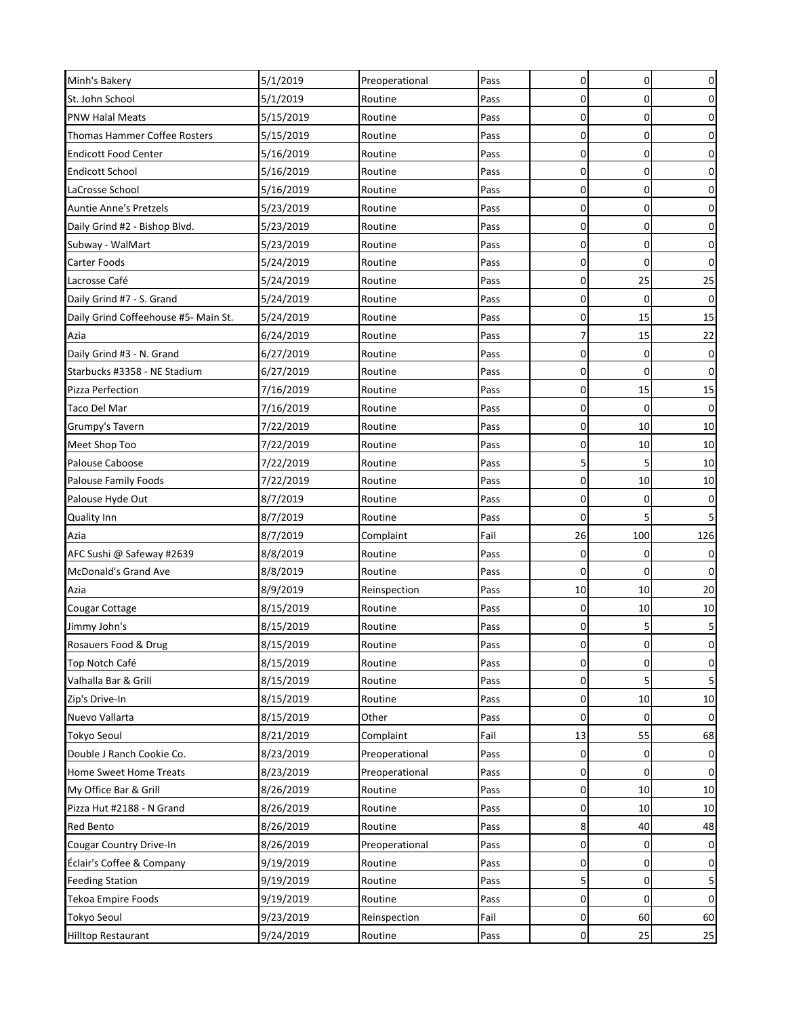| Minh's Bakery                        | 5/1/2019  | Preoperational | Pass | $\mathbf 0$ | $\mathbf 0$ | 0              |
|--------------------------------------|-----------|----------------|------|-------------|-------------|----------------|
| St. John School                      | 5/1/2019  | Routine        | Pass | $\mathbf 0$ | $\mathbf 0$ | 0              |
| <b>PNW Halal Meats</b>               | 5/15/2019 | Routine        | Pass | $\mathbf 0$ | $\mathbf 0$ | 0              |
| <b>Thomas Hammer Coffee Rosters</b>  | 5/15/2019 | Routine        | Pass | $\mathbf 0$ | $\mathbf 0$ | 0              |
| <b>Endicott Food Center</b>          | 5/16/2019 | Routine        | Pass | $\mathbf 0$ | $\mathbf 0$ | 0              |
| <b>Endicott School</b>               | 5/16/2019 | Routine        | Pass | $\mathbf 0$ | $\mathbf 0$ | 0              |
| LaCrosse School                      | 5/16/2019 | Routine        | Pass | $\mathbf 0$ | $\mathbf 0$ | $\overline{0}$ |
| Auntie Anne's Pretzels               | 5/23/2019 | Routine        | Pass | $\mathbf 0$ | $\mathbf 0$ | 0              |
| Daily Grind #2 - Bishop Blvd.        | 5/23/2019 | Routine        | Pass | 0           | 0           | $\pmb{0}$      |
| Subway - WalMart                     | 5/23/2019 | Routine        | Pass | $\mathbf 0$ | $\mathbf 0$ | 0              |
| Carter Foods                         | 5/24/2019 | Routine        | Pass | $\mathbf 0$ | $\Omega$    | 0              |
| Lacrosse Café                        | 5/24/2019 | Routine        | Pass | $\mathbf 0$ | 25          | 25             |
| Daily Grind #7 - S. Grand            | 5/24/2019 | Routine        | Pass | $\mathbf 0$ | $\mathbf 0$ | $\mathbf{0}$   |
| Daily Grind Coffeehouse #5- Main St. | 5/24/2019 | Routine        | Pass | $\mathbf 0$ | 15          | 15             |
| Azia                                 | 6/24/2019 | Routine        | Pass | 7           | 15          | 22             |
| Daily Grind #3 - N. Grand            | 6/27/2019 | Routine        | Pass | $\mathbf 0$ | 0           | 0              |
| Starbucks #3358 - NE Stadium         | 6/27/2019 | Routine        | Pass | $\mathbf 0$ | $\Omega$    | $\mathbf 0$    |
| Pizza Perfection                     | 7/16/2019 | Routine        | Pass | $\mathbf 0$ | 15          | 15             |
| Taco Del Mar                         | 7/16/2019 | Routine        | Pass | $\mathbf 0$ | 0           | 0              |
| Grumpy's Tavern                      | 7/22/2019 | Routine        | Pass | $\mathbf 0$ | 10          | 10             |
| Meet Shop Too                        | 7/22/2019 | Routine        | Pass | $\mathbf 0$ | 10          | 10             |
| Palouse Caboose                      | 7/22/2019 | Routine        | Pass | 5           | 5           | 10             |
| <b>Palouse Family Foods</b>          | 7/22/2019 | Routine        | Pass | $\mathbf 0$ | 10          | 10             |
| Palouse Hyde Out                     | 8/7/2019  | Routine        | Pass | $\mathbf 0$ | $\mathbf 0$ | 0              |
| Quality Inn                          | 8/7/2019  | Routine        | Pass | $\mathbf 0$ | 5           | 5 <sup>1</sup> |
| Azia                                 | 8/7/2019  | Complaint      | Fail | 26          | 100         | 126            |
| AFC Sushi @ Safeway #2639            | 8/8/2019  | Routine        | Pass | 0           | 0           | 0              |
| <b>McDonald's Grand Ave</b>          | 8/8/2019  | Routine        | Pass | $\mathbf 0$ | $\mathbf 0$ | $\mathbf 0$    |
| Azia                                 | 8/9/2019  | Reinspection   | Pass | 10          | 10          | 20             |
| Cougar Cottage                       | 8/15/2019 | Routine        | Pass | 0           | 10          | 10             |
| Jimmy John's                         | 8/15/2019 | Routine        | Pass | 0           | 5           | 5              |
| Rosauers Food & Drug                 | 8/15/2019 | Routine        | Pass | $\pmb{0}$   | 0           | 0              |
| Top Notch Café                       | 8/15/2019 | Routine        | Pass | $\mathbf 0$ | $\mathbf 0$ | 0              |
| Valhalla Bar & Grill                 | 8/15/2019 | Routine        | Pass | 0           | 5           | 5              |
| Zip's Drive-In                       | 8/15/2019 | Routine        | Pass | $\mathbf 0$ | 10          | 10             |
| Nuevo Vallarta                       | 8/15/2019 | Other          | Pass | $\mathbf 0$ | 0           | $\overline{0}$ |
| <b>Tokyo Seoul</b>                   | 8/21/2019 | Complaint      | Fail | 13          | 55          | 68             |
| Double J Ranch Cookie Co.            | 8/23/2019 | Preoperational | Pass | 0           | 0           | 0              |
| Home Sweet Home Treats               | 8/23/2019 | Preoperational | Pass | 0           | $\mathbf 0$ | 0              |
| My Office Bar & Grill                | 8/26/2019 | Routine        | Pass | 0           | 10          | 10             |
| Pizza Hut #2188 - N Grand            | 8/26/2019 | Routine        | Pass | 0           | 10          | 10             |
| Red Bento                            | 8/26/2019 | Routine        | Pass | 8           | 40          | 48             |
| Cougar Country Drive-In              | 8/26/2019 | Preoperational | Pass | $\mathbf 0$ | 0           | $\mathbf 0$    |
| Éclair's Coffee & Company            | 9/19/2019 | Routine        | Pass | 0           | 0           | $\mathbf 0$    |
| <b>Feeding Station</b>               | 9/19/2019 | Routine        | Pass | 5           | $\mathbf 0$ | 5              |
| <b>Tekoa Empire Foods</b>            | 9/19/2019 | Routine        | Pass | $\mathbf 0$ | $\mathbf 0$ | $\overline{0}$ |
| Tokyo Seoul                          | 9/23/2019 | Reinspection   | Fail | 0           | 60          | 60             |
| <b>Hilltop Restaurant</b>            | 9/24/2019 | Routine        | Pass | 0           | 25          | 25             |
|                                      |           |                |      |             |             |                |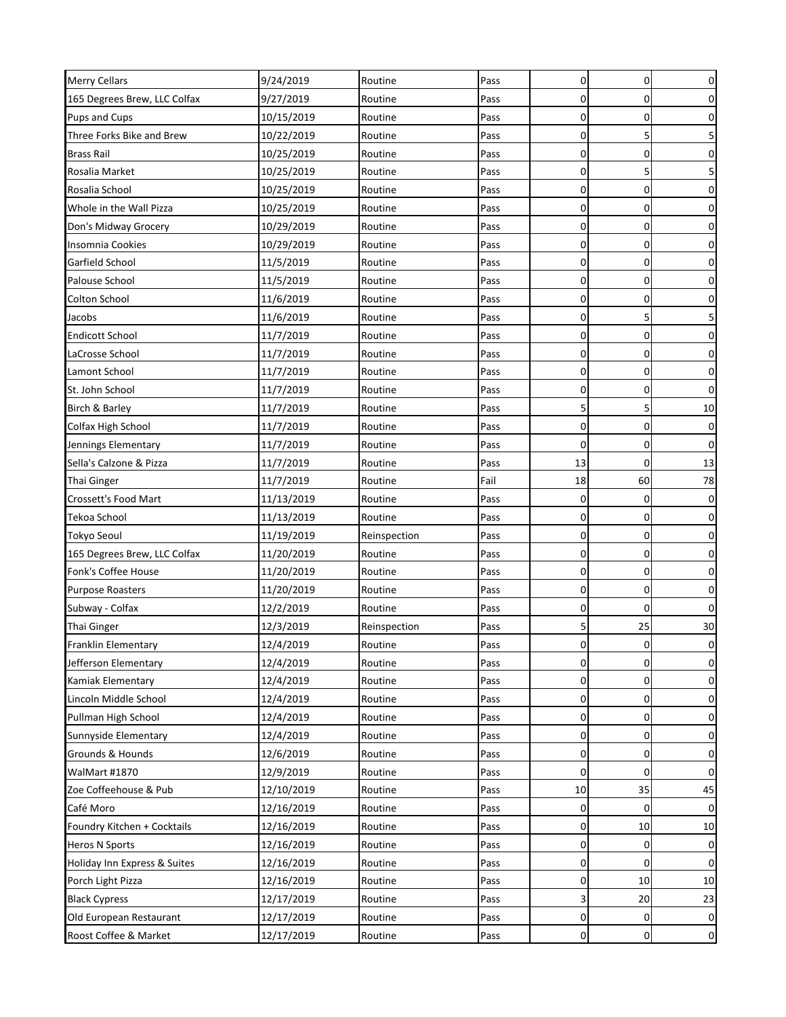| <b>Merry Cellars</b>         | 9/24/2019  | Routine      | Pass | 0           | $\mathbf 0$    | $\overline{0}$   |
|------------------------------|------------|--------------|------|-------------|----------------|------------------|
| 165 Degrees Brew, LLC Colfax | 9/27/2019  | Routine      | Pass | $\mathbf 0$ | $\Omega$       | $\mathbf 0$      |
| Pups and Cups                | 10/15/2019 | Routine      | Pass | $\mathbf 0$ | 0              | $\mathbf 0$      |
| Three Forks Bike and Brew    | 10/22/2019 | Routine      | Pass | 0           | 5              | $\mathsf S$      |
| <b>Brass Rail</b>            | 10/25/2019 | Routine      | Pass | $\mathbf 0$ | 0              | $\overline{0}$   |
| Rosalia Market               | 10/25/2019 | Routine      | Pass | $\mathbf 0$ | 5              | 5                |
| Rosalia School               | 10/25/2019 | Routine      | Pass | $\mathbf 0$ | 0              | $\boldsymbol{0}$ |
| Whole in the Wall Pizza      | 10/25/2019 | Routine      | Pass | $\mathbf 0$ | 0              | $\overline{0}$   |
| Don's Midway Grocery         | 10/29/2019 | Routine      | Pass | $\mathbf 0$ | $\Omega$       | $\mathbf 0$      |
| Insomnia Cookies             | 10/29/2019 | Routine      | Pass | $\mathbf 0$ | $\mathbf 0$    | $\mathbf 0$      |
| Garfield School              | 11/5/2019  | Routine      | Pass | $\mathbf 0$ | 0              | $\pmb{0}$        |
| Palouse School               | 11/5/2019  | Routine      | Pass | $\mathbf 0$ | $\Omega$       | $\mathbf 0$      |
| Colton School                | 11/6/2019  | Routine      | Pass | 0           | 0              | $\mathbf 0$      |
| Jacobs                       | 11/6/2019  | Routine      | Pass | $\mathbf 0$ | 5              | 5                |
| <b>Endicott School</b>       | 11/7/2019  | Routine      | Pass | $\mathbf 0$ | 0              | $\overline{0}$   |
| LaCrosse School              | 11/7/2019  | Routine      | Pass | $\mathbf 0$ | $\mathbf 0$    | $\mathbf 0$      |
| Lamont School                | 11/7/2019  | Routine      | Pass | $\mathbf 0$ | $\mathbf 0$    | $\mathbf 0$      |
| St. John School              | 11/7/2019  | Routine      | Pass | $\mathbf 0$ | 0              | $\mathbf 0$      |
| Birch & Barley               | 11/7/2019  | Routine      | Pass | 5           | 5              | 10               |
| Colfax High School           | 11/7/2019  | Routine      | Pass | 0           | 0              | $\mathbf 0$      |
| Jennings Elementary          | 11/7/2019  | Routine      | Pass | $\mathbf 0$ | $\overline{0}$ | $\pmb{0}$        |
| Sella's Calzone & Pizza      | 11/7/2019  | Routine      | Pass | 13          | $\Omega$       | 13               |
| <b>Thai Ginger</b>           | 11/7/2019  | Routine      | Fail | 18          | 60             | 78               |
| Crossett's Food Mart         | 11/13/2019 | Routine      | Pass | $\mathbf 0$ | 0              | $\mathbf 0$      |
| Tekoa School                 | 11/13/2019 | Routine      | Pass | $\mathbf 0$ | 0              | $\mathbf 0$      |
| <b>Tokyo Seoul</b>           | 11/19/2019 | Reinspection | Pass | $\mathbf 0$ | 0              | $\overline{0}$   |
| 165 Degrees Brew, LLC Colfax | 11/20/2019 | Routine      | Pass | $\mathbf 0$ | $\Omega$       | $\overline{0}$   |
| Fonk's Coffee House          | 11/20/2019 | Routine      | Pass | $\mathbf 0$ | 0              | $\mathbf 0$      |
| Purpose Roasters             | 11/20/2019 | Routine      | Pass | $\mathbf 0$ | 0              | $\pmb{0}$        |
| Subway - Colfax              | 12/2/2019  | Routine      | Pass | $\mathbf 0$ | $\Omega$       | $\pmb{0}$        |
| <b>Thai Ginger</b>           | 12/3/2019  | Reinspection | Pass | 5           | 25             | 30               |
| Franklin Elementary          | 12/4/2019  | Routine      | Pass | $\mathbf 0$ | 0              | $\pmb{0}$        |
| Jefferson Elementary         | 12/4/2019  | Routine      | Pass | 0           | 0              | 0                |
| Kamiak Elementary            | 12/4/2019  | Routine      | Pass | $\mathbf 0$ | 0              | $\mathbf 0$      |
| Lincoln Middle School        | 12/4/2019  | Routine      | Pass | $\mathbf 0$ | $\overline{0}$ | $\mathbf 0$      |
| Pullman High School          | 12/4/2019  | Routine      | Pass | 0           | 0              | $\mathbf 0$      |
| Sunnyside Elementary         | 12/4/2019  | Routine      | Pass | 0           | 0              | $\mathbf 0$      |
| Grounds & Hounds             | 12/6/2019  | Routine      | Pass | 0           | $\overline{0}$ | $\overline{0}$   |
| WalMart #1870                | 12/9/2019  | Routine      | Pass | 0           | 0              | $\mathbf 0$      |
| Zoe Coffeehouse & Pub        | 12/10/2019 | Routine      | Pass | 10          | 35             | 45               |
| Café Moro                    | 12/16/2019 | Routine      | Pass | $\mathbf 0$ | $\Omega$       | $\overline{0}$   |
| Foundry Kitchen + Cocktails  | 12/16/2019 | Routine      | Pass | $\mathbf 0$ | 10             | 10               |
| Heros N Sports               | 12/16/2019 | Routine      | Pass | 0           | 0              | $\overline{0}$   |
| Holiday Inn Express & Suites | 12/16/2019 | Routine      | Pass | 0           | 0              | 0                |
| Porch Light Pizza            | 12/16/2019 | Routine      | Pass | 0           | 10             | 10               |
| <b>Black Cypress</b>         | 12/17/2019 | Routine      | Pass | 3           | 20             | 23               |
| Old European Restaurant      | 12/17/2019 | Routine      | Pass | 0           | 0              | $\mathbf 0$      |
| Roost Coffee & Market        | 12/17/2019 | Routine      | Pass | 0           | 0              | $\mathbf 0$      |
|                              |            |              |      |             |                |                  |